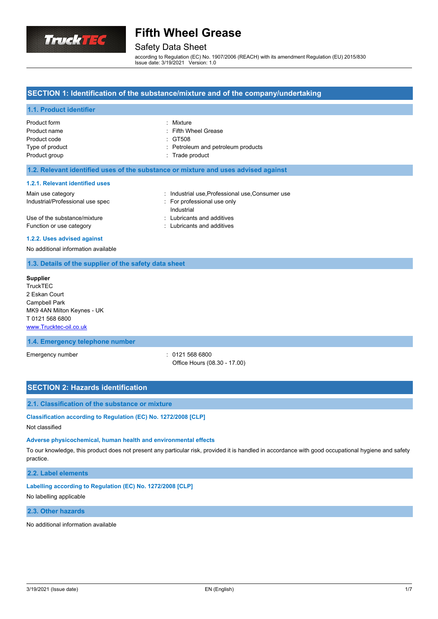

## Safety Data Sheet

according to Regulation (EC) No. 1907/2006 (REACH) with its amendment Regulation (EU) 2015/830 Issue date: 3/19/2021 Version: 1.0

## **SECTION 1: Identification of the substance/mixture and of the company/undertaking**

## **1.1. Product identifier**

| Product form    | : Mixture                          |
|-----------------|------------------------------------|
| Product name    | : Fifth Wheel Grease               |
| Product code    | : GT508                            |
| Type of product | : Petroleum and petroleum products |
| Product group   | : Trade product                    |
|                 |                                    |

## **1.2. Relevant identified uses of the substance or mixture and uses advised against**

#### **1.2.1. Relevant identified uses**

| Main use category                | : Industrial use, Professional use, Consumer use |
|----------------------------------|--------------------------------------------------|
| Industrial/Professional use spec | For professional use only                        |
|                                  | Industrial                                       |
| Use of the substance/mixture     | : Lubricants and additives                       |
| Function or use category         | : Lubricants and additives                       |

#### **1.2.2. Uses advised against**

### No additional information available

### **1.3. Details of the supplier of the safety data sheet**

| <b>Supplier</b>            |
|----------------------------|
| <b>TruckTEC</b>            |
| 2 Eskan Court              |
| <b>Campbell Park</b>       |
| MK9 4AN Milton Keynes - UK |
| T01215686800               |
| www.Trucktec-oil.co.uk     |

## **1.4. Emergency telephone number**

Emergency number : 0121 568 6800

Office Hours (08.30 - 17.00)

## **SECTION 2: Hazards identification**

#### **2.1. Classification of the substance or mixture**

# **Classification according to Regulation (EC) No. 1272/2008 [CLP]**

Not classified

## **Adverse physicochemical, human health and environmental effects**

To our knowledge, this product does not present any particular risk, provided it is handled in accordance with good occupational hygiene and safety practice.

## **2.2. Label elements**

#### **Labelling according to Regulation (EC) No. 1272/2008 [CLP]**

#### No labelling applicable

## **2.3. Other hazards**

No additional information available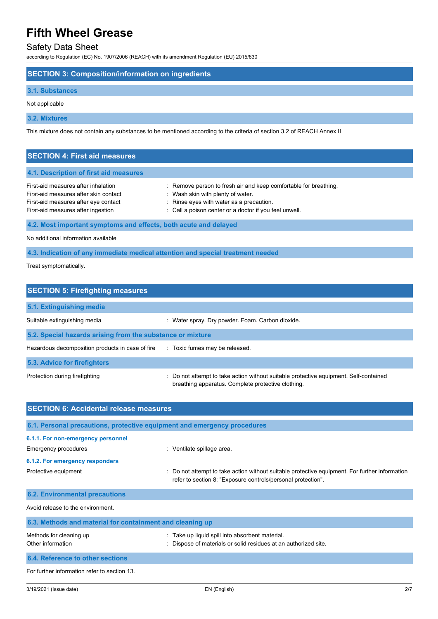# Safety Data Sheet

according to Regulation (EC) No. 1907/2006 (REACH) with its amendment Regulation (EU) 2015/830

## **SECTION 3: Composition/information on ingredients**

#### **3.1. Substances**

Not applicable

**3.2. Mixtures**

This mixture does not contain any substances to be mentioned according to the criteria of section 3.2 of REACH Annex II

# **SECTION 4: First aid measures**

## **4.1. Description of first aid measures**

| First-aid measures after inhalation   | : Remove person to fresh air and keep comfortable for breathing. |
|---------------------------------------|------------------------------------------------------------------|
| First-aid measures after skin contact | Wash skin with plenty of water.                                  |
| First-aid measures after eye contact  | : Rinse eyes with water as a precaution.                         |
| First-aid measures after ingestion    | : Call a poison center or a doctor if you feel unwell.           |

## **4.2. Most important symptoms and effects, both acute and delayed**

No additional information available

**4.3. Indication of any immediate medical attention and special treatment needed**

Treat symptomatically.

| <b>SECTION 5: Firefighting measures</b>                    |                                                                                                                                             |  |  |
|------------------------------------------------------------|---------------------------------------------------------------------------------------------------------------------------------------------|--|--|
| 5.1. Extinguishing media                                   |                                                                                                                                             |  |  |
| Suitable extinguishing media                               | Water spray. Dry powder. Foam. Carbon dioxide.                                                                                              |  |  |
| 5.2. Special hazards arising from the substance or mixture |                                                                                                                                             |  |  |
| Hazardous decomposition products in case of fire           | : Toxic fumes may be released.                                                                                                              |  |  |
| 5.3. Advice for firefighters                               |                                                                                                                                             |  |  |
| Protection during firefighting                             | : Do not attempt to take action without suitable protective equipment. Self-contained<br>breathing apparatus. Complete protective clothing. |  |  |

| <b>SECTION 6: Accidental release measures</b>                            |                                                                                                                                                              |  |
|--------------------------------------------------------------------------|--------------------------------------------------------------------------------------------------------------------------------------------------------------|--|
| 6.1. Personal precautions, protective equipment and emergency procedures |                                                                                                                                                              |  |
| 6.1.1. For non-emergency personnel<br>Emergency procedures               | : Ventilate spillage area.                                                                                                                                   |  |
| 6.1.2. For emergency responders                                          |                                                                                                                                                              |  |
| Protective equipment                                                     | Do not attempt to take action without suitable protective equipment. For further information<br>refer to section 8: "Exposure controls/personal protection". |  |
| <b>6.2. Environmental precautions</b>                                    |                                                                                                                                                              |  |
| Avoid release to the environment.                                        |                                                                                                                                                              |  |
| 6.3. Methods and material for containment and cleaning up                |                                                                                                                                                              |  |
| Methods for cleaning up<br>Other information                             | Take up liquid spill into absorbent material.<br>Dispose of materials or solid residues at an authorized site.                                               |  |
| 6.4. Reference to other sections                                         |                                                                                                                                                              |  |
| For further information refer to section 13.                             |                                                                                                                                                              |  |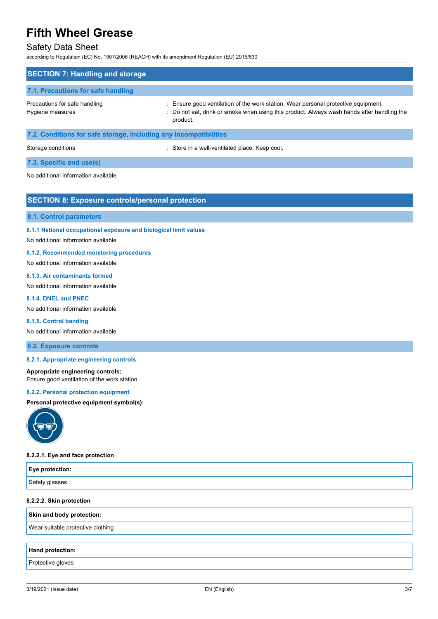## Safety Data Sheet

according to Regulation (EC) No. 1907/2006 (REACH) with its amendment Regulation (EU) 2015/830

| <b>SECTION 7: Handling and storage</b>                            |                                                                                                                                                                                              |
|-------------------------------------------------------------------|----------------------------------------------------------------------------------------------------------------------------------------------------------------------------------------------|
| 7.1. Precautions for safe handling                                |                                                                                                                                                                                              |
| Precautions for safe handling<br>Hygiene measures                 | : Ensure good ventilation of the work station. Wear personal protective equipment.<br>: Do not eat, drink or smoke when using this product. Always wash hands after handling the<br>product. |
| 7.2. Conditions for safe storage, including any incompatibilities |                                                                                                                                                                                              |

Storage conditions **Storage conditions** : Store in a well-ventilated place. Keep cool.

### **7.3. Specific end use(s)**

No additional information available

## **SECTION 8: Exposure controls/personal protection**

## **8.1. Control parameters**

**8.1.1 National occupational exposure and biological limit values**

#### No additional information available

#### **8.1.2. Recommended monitoring procedures**

No additional information available

#### **8.1.3. Air contaminants formed**

No additional information available

## **8.1.4. DNEL and PNEC**

No additional information available

#### **8.1.5. Control banding**

No additional information available

## **8.2. Exposure controls**

## **8.2.1. Appropriate engineering controls**

#### **Appropriate engineering controls:** Ensure good ventilation of the work station.

#### **8.2.2. Personal protection equipment**

#### **Personal protective equipment symbol(s):**



#### **8.2.2.1. Eye and face protection**

| <b>Eye protection:</b>            |  |
|-----------------------------------|--|
| Safety glasses                    |  |
| 8.2.2.2. Skin protection          |  |
| Skin and body protection:         |  |
| Wear suitable protective clothing |  |
|                                   |  |
| <b>Hand protection:</b>           |  |

Protective gloves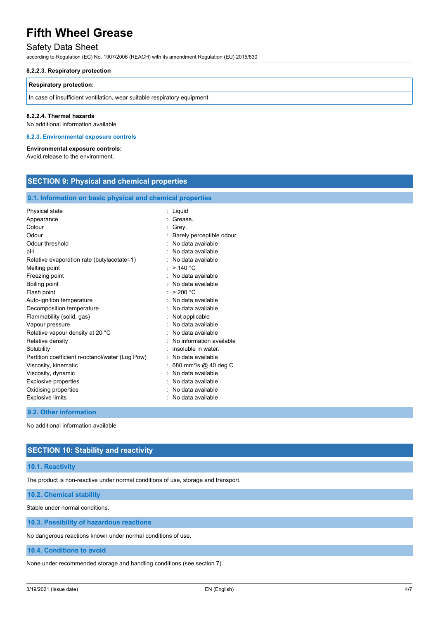## Safety Data Sheet

according to Regulation (EC) No. 1907/2006 (REACH) with its amendment Regulation (EU) 2015/830

#### **8.2.2.3. Respiratory protection**

#### **Respiratory protection:**

In case of insufficient ventilation, wear suitable respiratory equipment

## **8.2.2.4. Thermal hazards**

No additional information available

**8.2.3. Environmental exposure controls**

## **Environmental exposure controls:**

Avoid release to the environment.

| <b>SECTION 9: Physical and chemical properties</b>                                                                                                                                                                                                                                                                                 |                                                                                                                                                                                                                                                                                |  |
|------------------------------------------------------------------------------------------------------------------------------------------------------------------------------------------------------------------------------------------------------------------------------------------------------------------------------------|--------------------------------------------------------------------------------------------------------------------------------------------------------------------------------------------------------------------------------------------------------------------------------|--|
| 9.1. Information on basic physical and chemical properties                                                                                                                                                                                                                                                                         |                                                                                                                                                                                                                                                                                |  |
| Physical state<br>Appearance<br>Colour<br>Odour<br>Odour threshold<br>рH<br>Relative evaporation rate (butylacetate=1)<br>Melting point<br>Freezing point<br>Boiling point<br>Flash point<br>Auto-ignition temperature                                                                                                             | : Liquid<br>Grease.<br>Grey.<br>Barely perceptible odour.<br>No data available<br>No data available<br>No data available<br>>140 °C<br>No data available<br>No data available<br>> 200 °C<br>No data available<br>٠                                                            |  |
| Decomposition temperature<br>Flammability (solid, gas)<br>Vapour pressure<br>Relative vapour density at 20 °C<br>Relative density<br>Solubility<br>Partition coefficient n-octanol/water (Log Pow)<br>Viscosity, kinematic<br>Viscosity, dynamic<br><b>Explosive properties</b><br>Oxidising properties<br><b>Explosive limits</b> | No data available<br>Not applicable<br>No data available<br>No data available<br>No information available<br>insoluble in water.<br>No data available<br>680 mm <sup>2</sup> /s @ 40 deg C<br>No data available<br>No data available<br>No data available<br>No data available |  |
| 9.2. Other information                                                                                                                                                                                                                                                                                                             |                                                                                                                                                                                                                                                                                |  |

No additional information available

## **SECTION 10: Stability and reactivity**

## **10.1. Reactivity**

The product is non-reactive under normal conditions of use, storage and transport.

**10.2. Chemical stability**

Stable under normal conditions.

**10.3. Possibility of hazardous reactions**

No dangerous reactions known under normal conditions of use.

#### **10.4. Conditions to avoid**

None under recommended storage and handling conditions (see section 7).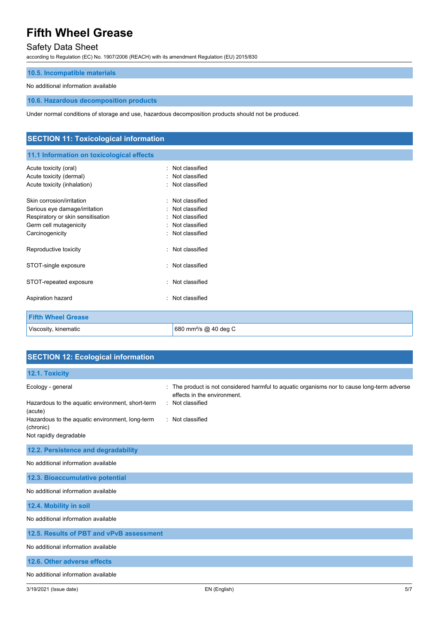# Safety Data Sheet

according to Regulation (EC) No. 1907/2006 (REACH) with its amendment Regulation (EU) 2015/830

## **10.5. Incompatible materials**

## No additional information available

**10.6. Hazardous decomposition products**

Under normal conditions of storage and use, hazardous decomposition products should not be produced.

| <b>SECTION 11: Toxicological information</b>                                                                                                 |                                                                                                                 |  |
|----------------------------------------------------------------------------------------------------------------------------------------------|-----------------------------------------------------------------------------------------------------------------|--|
| 11.1 Information on toxicological effects                                                                                                    |                                                                                                                 |  |
| Acute toxicity (oral)<br>Acute toxicity (dermal)<br>Acute toxicity (inhalation)                                                              | : Not classified<br>Not classified<br>$\bullet$<br>: Not classified                                             |  |
| Skin corrosion/irritation<br>Serious eye damage/irritation<br>Respiratory or skin sensitisation<br>Germ cell mutagenicity<br>Carcinogenicity | Not classified<br>٠<br>Not classified<br>٠<br>Not classified<br>٠<br>Not classified<br>٠<br>Not classified<br>٠ |  |
| Reproductive toxicity                                                                                                                        | Not classified                                                                                                  |  |
| STOT-single exposure                                                                                                                         | : Not classified                                                                                                |  |
| STOT-repeated exposure                                                                                                                       | Not classified<br>٠.                                                                                            |  |
| Aspiration hazard                                                                                                                            | Not classified<br>٠                                                                                             |  |
| <b>Fifth Wheel Grease</b>                                                                                                                    |                                                                                                                 |  |
| Viscosity, kinematic                                                                                                                         | 680 mm <sup>2</sup> /s @ 40 deg C                                                                               |  |

|  |  | <b>SECTION 12: Ecological information</b> |
|--|--|-------------------------------------------|
|  |  |                                           |

| 12.1. Toxicity                                                                                                                                                             |                                                                                                                                                                        |
|----------------------------------------------------------------------------------------------------------------------------------------------------------------------------|------------------------------------------------------------------------------------------------------------------------------------------------------------------------|
| Ecology - general<br>Hazardous to the aquatic environment, short-term<br>(acute)<br>Hazardous to the aquatic environment, long-term<br>(chronic)<br>Not rapidly degradable | The product is not considered harmful to aquatic organisms nor to cause long-term adverse<br>÷.<br>effects in the environment.<br>: Not classified<br>: Not classified |
| 12.2. Persistence and degradability                                                                                                                                        |                                                                                                                                                                        |
|                                                                                                                                                                            |                                                                                                                                                                        |
| No additional information available                                                                                                                                        |                                                                                                                                                                        |
| 12.3. Bioaccumulative potential                                                                                                                                            |                                                                                                                                                                        |
| No additional information available                                                                                                                                        |                                                                                                                                                                        |
| 12.4. Mobility in soil                                                                                                                                                     |                                                                                                                                                                        |
| No additional information available                                                                                                                                        |                                                                                                                                                                        |
| 12.5. Results of PBT and vPvB assessment                                                                                                                                   |                                                                                                                                                                        |
| No additional information available                                                                                                                                        |                                                                                                                                                                        |
| 12.6. Other adverse effects                                                                                                                                                |                                                                                                                                                                        |
| No additional information available                                                                                                                                        |                                                                                                                                                                        |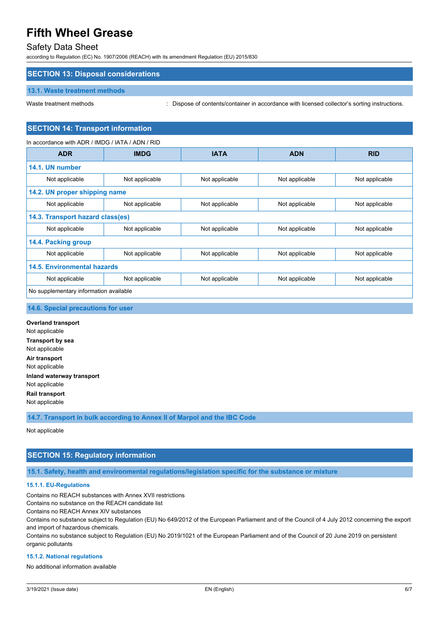## Safety Data Sheet

according to Regulation (EC) No. 1907/2006 (REACH) with its amendment Regulation (EU) 2015/830

## **SECTION 13: Disposal considerations**

## **13.1. Waste treatment methods**

Waste treatment methods : Dispose of contents/container in accordance with licensed collector's sorting instructions.

## **SECTION 14: Transport information**

| In accordance with ADR / IMDG / IATA / ADN / RID |                |                |                |                |
|--------------------------------------------------|----------------|----------------|----------------|----------------|
| <b>ADR</b>                                       | <b>IMDG</b>    | <b>IATA</b>    | <b>ADN</b>     | <b>RID</b>     |
| 14.1. UN number                                  |                |                |                |                |
| Not applicable                                   | Not applicable | Not applicable | Not applicable | Not applicable |
| 14.2. UN proper shipping name                    |                |                |                |                |
| Not applicable                                   | Not applicable | Not applicable | Not applicable | Not applicable |
| 14.3. Transport hazard class(es)                 |                |                |                |                |
| Not applicable                                   | Not applicable | Not applicable | Not applicable | Not applicable |
| 14.4. Packing group                              |                |                |                |                |
| Not applicable                                   | Not applicable | Not applicable | Not applicable | Not applicable |
| <b>14.5. Environmental hazards</b>               |                |                |                |                |
| Not applicable                                   | Not applicable | Not applicable | Not applicable | Not applicable |
| No supplementary information available           |                |                |                |                |
|                                                  |                |                |                |                |

### **14.6. Special precautions for user**

**Overland transport** Not applicable **Transport by sea** Not applicable **Air transport** Not applicable **Inland waterway transport** Not applicable **Rail transport** Not applicable

**14.7. Transport in bulk according to Annex II of Marpol and the IBC Code**

Not applicable

## **SECTION 15: Regulatory information**

**15.1. Safety, health and environmental regulations/legislation specific for the substance or mixture**

### **15.1.1. EU-Regulations**

Contains no REACH substances with Annex XVII restrictions

Contains no substance on the REACH candidate list

Contains no REACH Annex XIV substances

Contains no substance subject to Regulation (EU) No 649/2012 of the European Parliament and of the Council of 4 July 2012 concerning the export and import of hazardous chemicals.

Contains no substance subject to Regulation (EU) No 2019/1021 of the European Parliament and of the Council of 20 June 2019 on persistent organic pollutants

#### **15.1.2. National regulations**

No additional information available